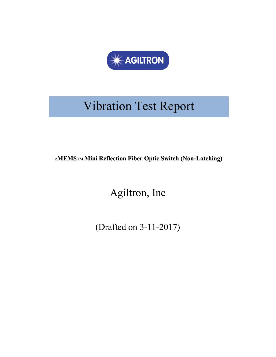

# Vibration Test Report

e**MEMSTM Mini Reflection Fiber Optic Switch (Non-Latching)**

Agiltron, Inc

(Drafted on 3-11-2017)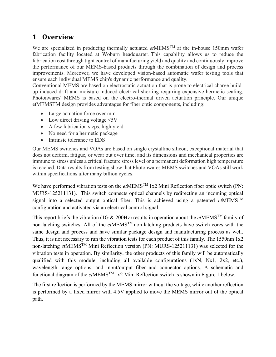# **1 Overview**

We are specialized in producing thermally actuated *et*MEMSTM at the in-house 150mm wafer fabrication facility located at Woburn headquarter. This capability allows us to reduce the fabrication cost through tight control of manufacturing yield and quality and continuously improve the performance of our MEMS-based products through the combination of design and process improvements. Moreover, we have developed vision-based automatic wafer testing tools that ensure each individual MEMS chip's dynamic performance and quality.

Conventional MEMS are based on electrostatic actuation that is prone to electrical charge buildup induced drift and moisture-induced electrical shorting requiring expensive hermetic sealing. Photonwares' MEMS is based on the electro-thermal driven actuation principle. Our unique etMEMSTM design provides advantages for fiber optic components, including:

- Large actuation force over mm
- Low direct driving voltage  $\leq 5V$
- A few fabrication steps, high yield
- No need for a hermetic package
- Intrinsic tolerance to EDS

Our MEMS switches and VOAs are based on single crystalline silicon, exceptional material that does not deform, fatigue, or wear out over time, and its dimensions and mechanical properties are immune to stress unless a critical fracture stress level or a permanent deformation high temperature is reached. Data results from testing show that Photonwares MEMS switches and VOAs still work within specifications after many billion cycles.

We have performed vibration tests on the *et*MEMSTM 1x2 Mini Reflection fiber optic switch (PN: MURS-125211131). This switch connects optical channels by redirecting an incoming optical signal into a selected output optical fiber. This is achieved using a patented *et*MEMSTM configuration and activated via an electrical control signal.

This report briefs the vibration (1G & 200Hz) results in operation about the *et*MEMSTM family of non-latching switches. All of the *et*MEMSTM non-latching products have switch cores with the same design and process and have similar package design and manufacturing process as well. Thus, it is not necessary to run the vibration tests for each product of this family. The 1550nm 1x2 non-latching *et*MEMSTM Mini Reflection version (PN: MURS-125211131) was selected for the vibration tests in operation. By similarity, the other products of this family will be automatically qualified with this module, including all available configurations (1xN, Nx1, 2x2, etc.), wavelength range options, and input/output fiber and connector options. A schematic and functional diagram of the *et*MEMSTM 1x2 Mini Reflection switch is shown in [Figure 1](#page-2-0) below.

The first reflection is performed by the MEMS mirror without the voltage, while another reflection is performed by a fixed mirror with 4.5V applied to move the MEMS mirror out of the optical path.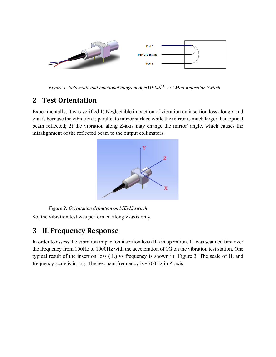

*Figure 1: Schematic and functional diagram of etMEMSTM 1x2 Mini Reflection Switch*

# <span id="page-2-0"></span>**2 Test Orientation**

Experimentally, it was verified 1) Neglectable impaction of vibration on insertion loss along x and y-axis because the vibration is parallel to mirror surface while the mirror is much larger than optical beam reflected; 2) the vibration along Z-axis may change the mirror' angle, which causes the misalignment of the reflected beam to the output collimators.



*Figure 2: Orientation definition on MEMS switch* So, the vibration test was performed along Z-axis only.

#### **3 IL Frequency Response**

In order to assess the vibration impact on insertion loss (IL) in operation, IL was scanned first over the frequency from 100Hz to 1000Hz with the acceleration of 1G on the vibration test station. One typical result of the insertion loss (IL) vs frequency is shown in [Figure 3.](#page-3-0) The scale of IL and frequency scale is in log. The resonant frequency is  $\sim$ 700Hz in Z-axis.